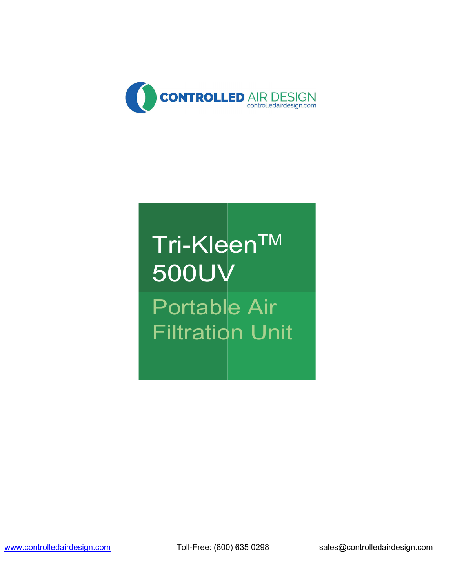

### Tri-KleenTM 500UV Portable Air Filtration Unit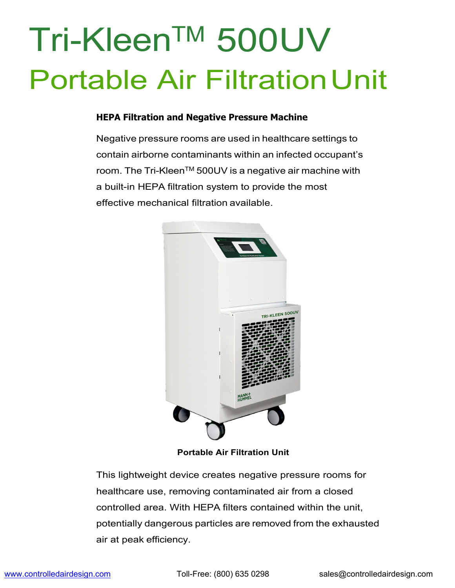### Tri-KleenTM 500UV Portable Air Filtration Unit

#### **HEPA Filtration and Negative Pressure Machine**

Negative pressure rooms are used in healthcare settings to contain airborne contaminants within an infected occupant's room. The Tri-Kleen™ 500UV is a negative air machine with a built-in HEPA filtration system to provide the most effective mechanical filtration available.



**Portable Air Filtration Unit**

This lightweight device creates negative pressure rooms for healthcare use, removing contaminated air from a closed controlled area. With HEPA filters contained within the unit, potentially dangerous particles are removed from the exhausted air at peak efficiency.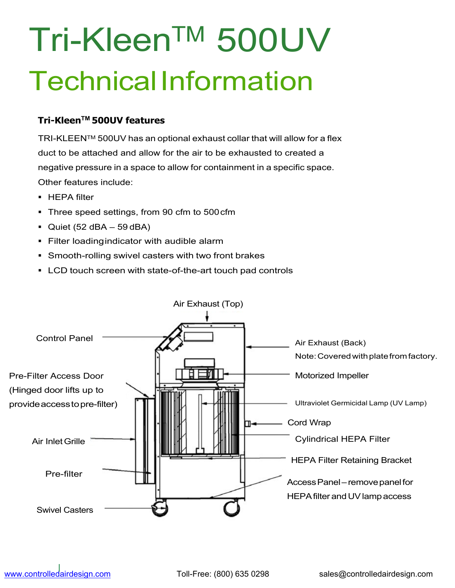## Tri-KleenTM 500UV Technical Information

#### **Tri-KleenTM 500UV features**

TRI-KLEEN™ 500UV has an optional exhaust collar that will allow for a flex duct to be attached and allow for the air to be exhausted to created a negative pressure in a space to allow for containment in a specific space. Other features include:

- **HEPA filter**
- **Three speed settings, from 90 cfm to 500 cfm**
- $\blacksquare$  Quiet (52 dBA 59 dBA)
- **Filter loadingindicator with audible alarm**
- **Smooth-rolling swivel casters with two front brakes**
- LCD touch screen with state-of-the-art touch pad controls